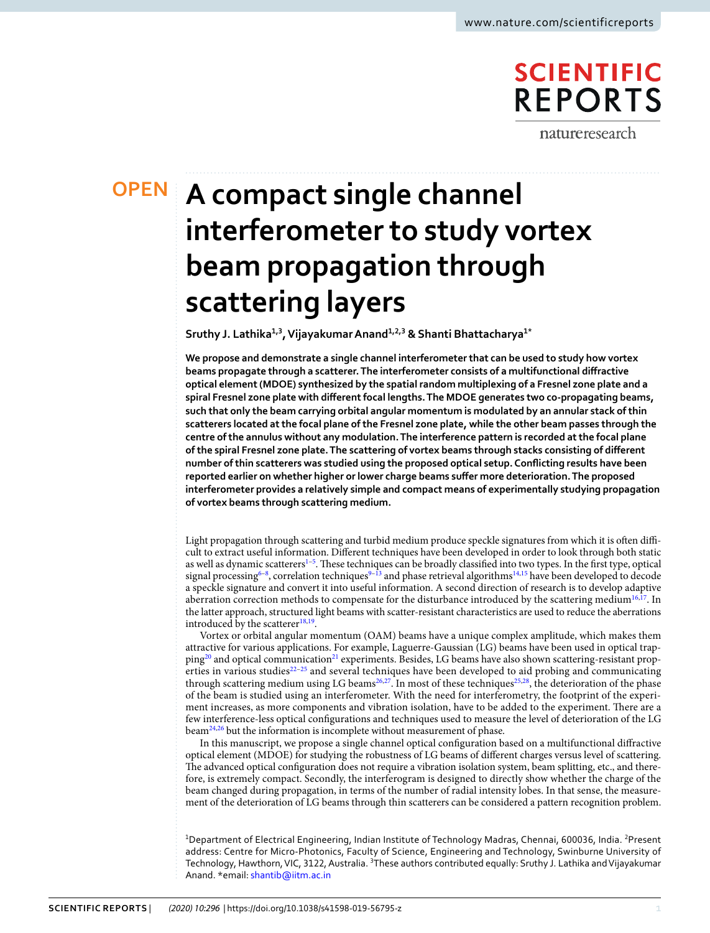## **SCIENTIFIC REPORTS**

natureresearch

# **A compact single channel OPENinterferometer to study vortex beam propagation through scattering layers**

**Sruthy J. Lathika1,3, Vijayakumar Anand1,2,3 & Shanti Bhattacharya1\***

**We propose and demonstrate a single channel interferometer that can be used to study how vortex beams propagate through a scatterer. The interferometer consists of a multifunctional diffractive optical element (MDOE) synthesized by the spatial random multiplexing of a Fresnel zone plate and a spiral Fresnel zone plate with different focal lengths. The MDOE generates two co-propagating beams, such that only the beam carrying orbital angular momentum is modulated by an annular stack of thin scatterers located at the focal plane of the Fresnel zone plate, while the other beam passes through the centre of the annulus without any modulation. The interference pattern is recorded at the focal plane of the spiral Fresnel zone plate. The scattering of vortex beams through stacks consisting of different number of thin scatterers was studied using the proposed optical setup. Conflicting results have been reported earlier on whether higher or lower charge beams suffer more deterioration. The proposed interferometer provides a relatively simple and compact means of experimentally studying propagation of vortex beams through scattering medium.**

Light propagation through scattering and turbid medium produce speckle signatures from which it is often difficult to extract useful information. Different techniques have been developed in order to look through both static as well as dynamic scatterers<sup>1-[5](#page-6-1)</sup>. These techniques can be broadly classified into two types. In the first type, optical signal processing<sup>[6](#page-6-2)-8</sup>, correlation techniques<sup>[9–](#page-6-4)[13](#page-6-5)</sup> and phase retrieval algorithms<sup>[14,](#page-6-6)[15](#page-6-7)</sup> have been developed to decode a speckle signature and convert it into useful information. A second direction of research is to develop adaptive aberration correction methods to compensate for the disturbance introduced by the scattering medium<sup>[16,](#page-6-8)[17](#page-6-9)</sup>. In the latter approach, structured light beams with scatter-resistant characteristics are used to reduce the aberrations introduced by the scatterer<sup>[18](#page-6-10)[,19](#page-6-11)</sup>.

Vortex or orbital angular momentum (OAM) beams have a unique complex amplitude, which makes them attractive for various applications. For example, Laguerre-Gaussian (LG) beams have been used in optical trap-ping<sup>[20](#page-6-12)</sup> and optical communication<sup>[21](#page-6-13)</sup> experiments. Besides, LG beams have also shown scattering-resistant prop-erties in various studies<sup>[22](#page-6-14)[–25](#page-6-15)</sup> and several techniques have been developed to aid probing and communicating through scattering medium using LG beams<sup>[26](#page-6-16)[,27](#page-6-17)</sup>. In most of these techniques<sup>[25](#page-6-15)[,28](#page-7-0)</sup>, the deterioration of the phase of the beam is studied using an interferometer. With the need for interferometry, the footprint of the experiment increases, as more components and vibration isolation, have to be added to the experiment. There are a few interference-less optical configurations and techniques used to measure the level of deterioration of the LG beam[24](#page-6-18)[,26](#page-6-16) but the information is incomplete without measurement of phase.

In this manuscript, we propose a single channel optical configuration based on a multifunctional diffractive optical element (MDOE) for studying the robustness of LG beams of different charges versus level of scattering. The advanced optical configuration does not require a vibration isolation system, beam splitting, etc., and therefore, is extremely compact. Secondly, the interferogram is designed to directly show whether the charge of the beam changed during propagation, in terms of the number of radial intensity lobes. In that sense, the measurement of the deterioration of LG beams through thin scatterers can be considered a pattern recognition problem.

<sup>1</sup>Department of Electrical Engineering, Indian Institute of Technology Madras, Chennai, 600036, India. <sup>2</sup>Present address: Centre for Micro-Photonics, Faculty of Science, Engineering and Technology, Swinburne University of Technology, Hawthorn, VIC, 3122, Australia. <sup>3</sup>These authors contributed equally: Sruthy J. Lathika and Vijayakumar Anand. \*email: [shantib@iitm.ac.in](mailto:shantib@iitm.ac.in)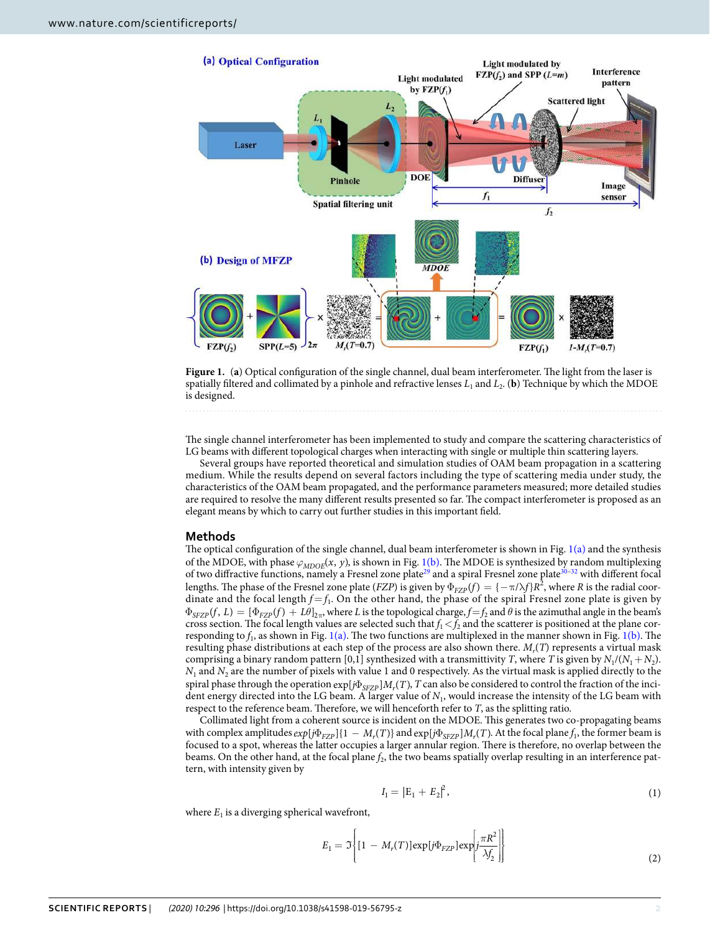

<span id="page-1-0"></span>**Figure 1.** (**a**) Optical configuration of the single channel, dual beam interferometer. The light from the laser is spatially filtered and collimated by a pinhole and refractive lenses  $L_1$  and  $L_2$ . (**b**) Technique by which the MDOE is designed.

The single channel interferometer has been implemented to study and compare the scattering characteristics of LG beams with different topological charges when interacting with single or multiple thin scattering layers.

Several groups have reported theoretical and simulation studies of OAM beam propagation in a scattering medium. While the results depend on several factors including the type of scattering media under study, the characteristics of the OAM beam propagated, and the performance parameters measured; more detailed studies are required to resolve the many different results presented so far. The compact interferometer is proposed as an elegant means by which to carry out further studies in this important field.

#### **Methods**

The optical configuration of the single channel, dual beam interferometer is shown in Fig.  $1(a)$  and the synthesis of the MDOE, with phase  $\varphi_{MDOF}(x, y)$ , is shown in Fig. [1\(b\).](#page-1-0) The MDOE is synthesized by random multiplexing of two diffractive functions, namely a Fresnel zone plate<sup>[29](#page-7-1)</sup> and a spiral Fresnel zone plate<sup>[30](#page-7-2)[–32](#page-7-3)</sup> with different focal lengths. The phase of the Fresnel zone plate (FZP) is given by  $\Phi_{FZP}(f) = \{-\pi/\lambda f\}R^2$ , where R is the radial coordinate and the focal length  $f = f_1$ . On the other hand, the phase of the spiral Fresnel zone plate is given by  $\Phi_{SEZP}(f, L) = [\Phi_{EZP}(f) + L\theta]_{2\pi}$ , where L is the topological charge,  $f=f_2$  and  $\theta$  is the azimuthal angle in the beam's cross section. The focal length values are selected such that  $f_1 < f_2$  and the scatterer is positioned at the plane corresponding to  $f_1$ , as shown in Fig. [1\(a\).](#page-1-0) The two functions are multiplexed in the manner shown in Fig. [1\(b\)](#page-1-0). The resulting phase distributions at each step of the process are also shown there.  $M_r(T)$  represents a virtual mask comprising a binary random pattern [0,1] synthesized with a transmittivity T, where T is given by  $N_1/(N_1+N_2)$ .  $N_1$  and  $N_2$  are the number of pixels with value 1 and 0 respectively. As the virtual mask is applied directly to the spiral phase through the operation  $\exp[j\Phi_{SFZP}]M_r(T)$ , T can also be considered to control the fraction of the incident energy directed into the LG beam. A larger value of  $N_1$ , would increase the intensity of the LG beam with respect to the reference beam. Therefore, we will henceforth refer to T, as the splitting ratio.

Collimated light from a coherent source is incident on the MDOE. This generates two co-propagating beams with complex amplitudes  $exp[j\Phi_{FZP}](1 - M_r(T))$  and  $exp[j\Phi_{SFZP}]M_r(T)$ . At the focal plane  $f_1$ , the former beam is focused to a spot, whereas the latter occupies a larger annular region. There is therefore, no overlap between the beams. On the other hand, at the focal plane  $f_2$ , the two beams spatially overlap resulting in an interference pattern, with intensity given by

$$
I_1 = |E_1 + E_2|^2, \tag{1}
$$

<span id="page-1-1"></span>where  $E_1$  is a diverging spherical wavefront,

$$
E_1 = \mathcal{I}\left\{[1 - M_r(T)]\exp[j\Phi_{FZP}]\exp\left[j\frac{\pi R^2}{\lambda f_2}\right]\right\}
$$
(2)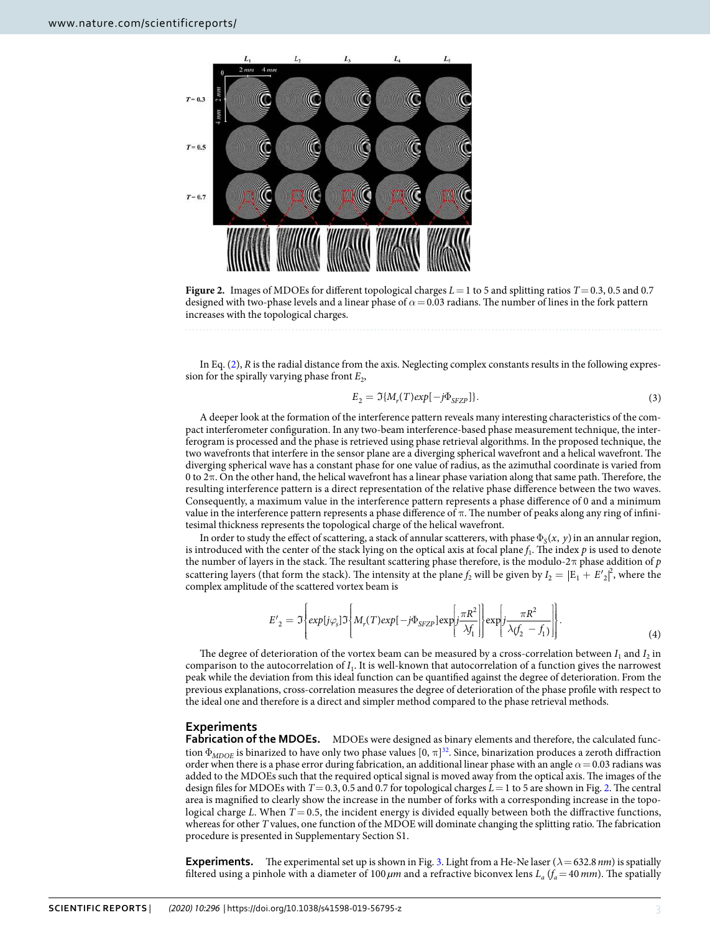

<span id="page-2-0"></span>**Figure 2.** Images of MDOEs for different topological charges  $L=1$  to 5 and splitting ratios  $T= 0.3$ , 0.5 and 0.7 designed with two-phase levels and a linear phase of *α*= 0.03 radians. The number of lines in the fork pattern increases with the topological charges.

In Eq.  $(2)$  $(2)$  $(2)$ , R is the radial distance from the axis. Neglecting complex constants results in the following expression for the spirally varying phase front  $E_2$ ,

$$
E_2 = \Im\{M_r(T)exp[-j\Phi_{SEZP}]\}.
$$
\n(3)

A deeper look at the formation of the interference pattern reveals many interesting characteristics of the compact interferometer configuration. In any two-beam interference-based phase measurement technique, the interferogram is processed and the phase is retrieved using phase retrieval algorithms. In the proposed technique, the two wavefronts that interfere in the sensor plane are a diverging spherical wavefront and a helical wavefront. The diverging spherical wave has a constant phase for one value of radius, as the azimuthal coordinate is varied from 0 to 2π. On the other hand, the helical wavefront has a linear phase variation along that same path. Therefore, the resulting interference pattern is a direct representation of the relative phase difference between the two waves. Consequently, a maximum value in the interference pattern represents a phase difference of 0 and a minimum value in the interference pattern represents a phase difference of  $\pi$ . The number of peaks along any ring of infinitesimal thickness represents the topological charge of the helical wavefront.

In order to study the effect of scattering, a stack of annular scatterers, with phase  $\Phi_S(x, y)$  in an annular region, is introduced with the center of the stack lying on the optical axis at focal plane  $f_1$ . The index  $p$  is used to denote the number of layers in the stack. The resultant scattering phase therefore, is the modulo-2 $\pi$  phase addition of p scattering layers (that form the stack). The intensity at the plane  $f_2$  will be given by  $I_2 = |\mathbf{E}_1 + E'_2|^2$ , where the complex amplitude of the scattered vortex beam is

$$
E'_{2} = \Im \left\{ exp[j\varphi_{s}] \Im \left\{ M_{r}(T)exp[-j\Phi_{SFZP}]exp\left[j\frac{\pi R^{2}}{\lambda f_{1}}\right]\right\} exp\left[j\frac{\pi R^{2}}{\lambda (f_{2} - f_{1})}\right]\right\}.
$$
\n(4)

The degree of deterioration of the vortex beam can be measured by a cross-correlation between  $I_1$  and  $I_2$  in comparison to the autocorrelation of  $I_1$ . It is well-known that autocorrelation of a function gives the narrowest peak while the deviation from this ideal function can be quantified against the degree of deterioration. From the previous explanations, cross-correlation measures the degree of deterioration of the phase profile with respect to the ideal one and therefore is a direct and simpler method compared to the phase retrieval methods.

#### **Experiments**

**Fabrication of the MDOEs.** MDOEs were designed as binary elements and therefore, the calculated function  $\Phi_{MDOE}$  is binarized to have only two phase values  $[0, \pi]^{32}$  $[0, \pi]^{32}$  $[0, \pi]^{32}$ . Since, binarization produces a zeroth diffraction order when there is a phase error during fabrication, an additional linear phase with an angle *α*= 0.03 radians was added to the MDOEs such that the required optical signal is moved away from the optical axis. The images of the design files for MDOEs with  $T = 0.3$ , 0.5 and 0.7 for topological charges  $L = 1$  to 5 are shown in Fig. [2](#page-2-0). The central area is magnified to clearly show the increase in the number of forks with a corresponding increase in the topological charge L. When  $T= 0.5$ , the incident energy is divided equally between both the diffractive functions, whereas for other T values, one function of the MDOE will dominate changing the splitting ratio. The fabrication procedure is presented in Supplementary Section S1.

**Experiments.** The experimental set up is shown in Fig. [3](#page-3-0). Light from a He-Ne laser ( $\lambda$  = 632.8 nm) is spatially filtered using a pinhole with a diameter of 100  $\mu$ m and a refractive biconvex lens  $L_a(f_a = 40 \, mm)$ . The spatially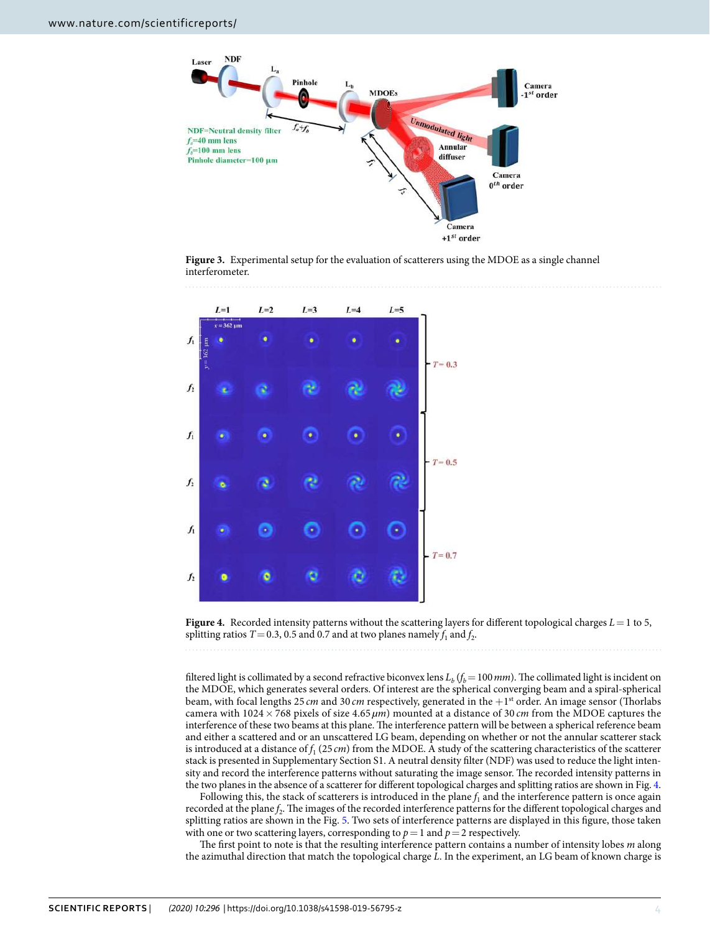

<span id="page-3-0"></span>**Figure 3.** Experimental setup for the evaluation of scatterers using the MDOE as a single channel interferometer.



<span id="page-3-1"></span>

filtered light is collimated by a second refractive biconvex lens  $L_b(f_b=100\,mm)$ . The collimated light is incident on the MDOE, which generates several orders. Of interest are the spherical converging beam and a spiral-spherical beam, with focal lengths 25 cm and 30 cm respectively, generated in the  $+1^{st}$  order. An image sensor (Thorlabs camera with 1024 × 768 pixels of size 4.65 *µ*m) mounted at a distance of 30 cm from the MDOE captures the interference of these two beams at this plane. The interference pattern will be between a spherical reference beam and either a scattered and or an unscattered LG beam, depending on whether or not the annular scatterer stack is introduced at a distance of  $f_1$  (25 cm) from the MDOE. A study of the scattering characteristics of the scatterer stack is presented in Supplementary Section S1. A neutral density filter (NDF) was used to reduce the light intensity and record the interference patterns without saturating the image sensor. The recorded intensity patterns in the two planes in the absence of a scatterer for different topological charges and splitting ratios are shown in Fig. [4.](#page-3-1)

Following this, the stack of scatterers is introduced in the plane  $f_1$  and the interference pattern is once again recorded at the plane  $f_2$ . The images of the recorded interference patterns for the different topological charges and splitting ratios are shown in the Fig. [5](#page-4-0). Two sets of interference patterns are displayed in this figure, those taken with one or two scattering layers, corresponding to  $p=1$  and  $p=2$  respectively.

The first point to note is that the resulting interference pattern contains a number of intensity lobes  $m$  along the azimuthal direction that match the topological charge  $\tilde{L}$ . In the experiment, an LG beam of known charge is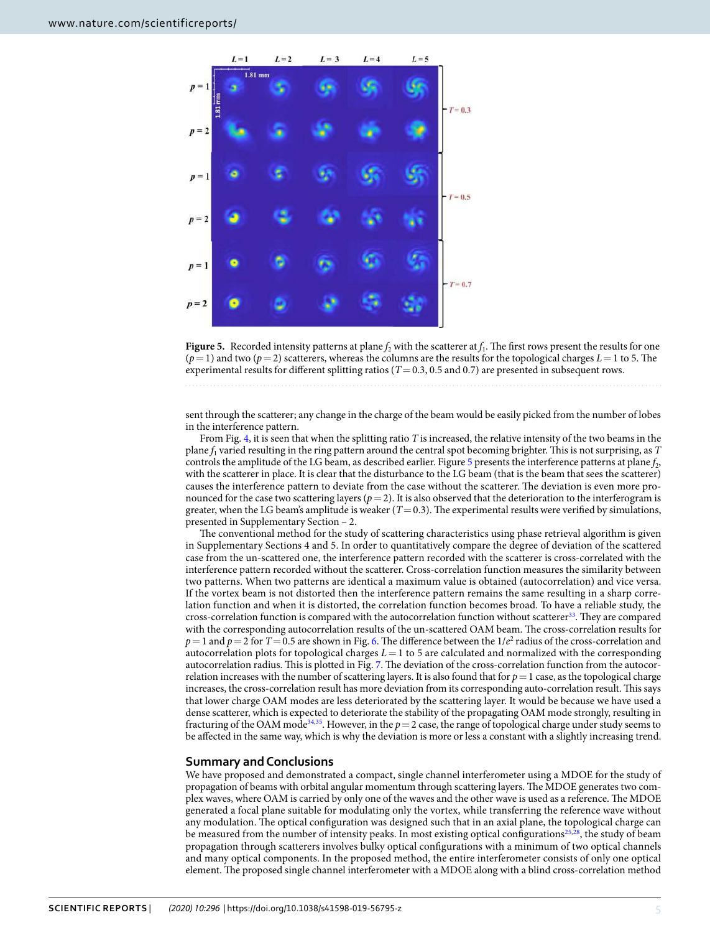

<span id="page-4-0"></span>**Figure 5.** Recorded intensity patterns at plane  $f_2$  with the scatterer at  $f_1$ . The first rows present the results for one  $(p= 1)$  and two  $(p= 2)$  scatterers, whereas the columns are the results for the topological charges  $L= 1$  to 5. The experimental results for different splitting ratios ( $T= 0.3$ , 0.5 and 0.7) are presented in subsequent rows.

sent through the scatterer; any change in the charge of the beam would be easily picked from the number of lobes in the interference pattern.

From Fig. [4,](#page-3-1) it is seen that when the splitting ratio T is increased, the relative intensity of the two beams in the plane  $f_1$  varied resulting in the ring pattern around the central spot becoming brighter. This is not surprising, as  $T$ controls the amplitude of the LG beam, as described earlier. Figure [5](#page-4-0) presents the interference patterns at plane  $f_2$ , with the scatterer in place. It is clear that the disturbance to the LG beam (that is the beam that sees the scatterer) causes the interference pattern to deviate from the case without the scatterer. The deviation is even more pronounced for the case two scattering layers ( $p=2$ ). It is also observed that the deterioration to the interferogram is greater, when the LG beam's amplitude is weaker ( $T= 0.3$ ). The experimental results were verified by simulations, presented in Supplementary Section – 2.

The conventional method for the study of scattering characteristics using phase retrieval algorithm is given in Supplementary Sections 4 and 5. In order to quantitatively compare the degree of deviation of the scattered case from the un-scattered one, the interference pattern recorded with the scatterer is cross-correlated with the interference pattern recorded without the scatterer. Cross-correlation function measures the similarity between two patterns. When two patterns are identical a maximum value is obtained (autocorrelation) and vice versa. If the vortex beam is not distorted then the interference pattern remains the same resulting in a sharp correlation function and when it is distorted, the correlation function becomes broad. To have a reliable study, the cross-correlation function is compared with the autocorrelation function without scatterer[33](#page-7-4). They are compared with the corresponding autocorrelation results of the un-scattered OAM beam. The cross-correlation results for  $p=1$  and  $p=2$  for  $T=0.5$  are shown in Fig. [6](#page-5-0). The difference between the  $1/e^2$  radius of the cross-correlation and autocorrelation plots for topological charges  $L=1$  to 5 are calculated and normalized with the corresponding autocorrelation radius. This is plotted in Fig. [7](#page-6-19). The deviation of the cross-correlation function from the autocorrelation increases with the number of scattering layers. It is also found that for  $p = 1$  case, as the topological charge increases, the cross-correlation result has more deviation from its corresponding auto-correlation result. This says that lower charge OAM modes are less deteriorated by the scattering layer. It would be because we have used a dense scatterer, which is expected to deteriorate the stability of the propagating OAM mode strongly, resulting in fracturing of the OAM mode<sup>[34,](#page-7-5)[35](#page-7-6)</sup>. However, in the  $p=2$  case, the range of topological charge under study seems to be affected in the same way, which is why the deviation is more or less a constant with a slightly increasing trend.

#### **Summary and Conclusions**

We have proposed and demonstrated a compact, single channel interferometer using a MDOE for the study of propagation of beams with orbital angular momentum through scattering layers. The MDOE generates two complex waves, where OAM is carried by only one of the waves and the other wave is used as a reference. The MDOE generated a focal plane suitable for modulating only the vortex, while transferring the reference wave without any modulation. The optical configuration was designed such that in an axial plane, the topological charge can be measured from the number of intensity peaks. In most existing optical configurations<sup>[25](#page-6-15),[28](#page-7-0)</sup>, the study of beam propagation through scatterers involves bulky optical configurations with a minimum of two optical channels and many optical components. In the proposed method, the entire interferometer consists of only one optical element. The proposed single channel interferometer with a MDOE along with a blind cross-correlation method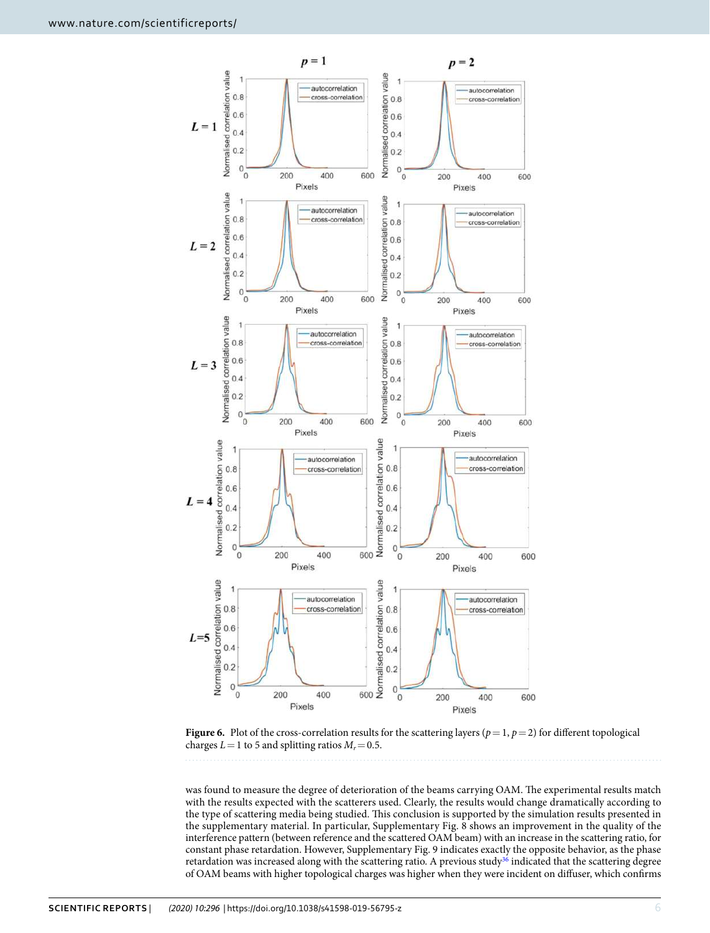

<span id="page-5-0"></span>**Figure 6.** Plot of the cross-correlation results for the scattering layers  $(p=1, p=2)$  for different topological charges  $L = 1$  to 5 and splitting ratios  $M_r = 0.5$ .

was found to measure the degree of deterioration of the beams carrying OAM. The experimental results match with the results expected with the scatterers used. Clearly, the results would change dramatically according to the type of scattering media being studied. This conclusion is supported by the simulation results presented in the supplementary material. In particular, Supplementary Fig. 8 shows an improvement in the quality of the interference pattern (between reference and the scattered OAM beam) with an increase in the scattering ratio, for constant phase retardation. However, Supplementary Fig. 9 indicates exactly the opposite behavior, as the phase retardation was increased along with the scattering ratio. A previous study<sup>[36](#page-7-7)</sup> indicated that the scattering degree of OAM beams with higher topological charges was higher when they were incident on diffuser, which confirms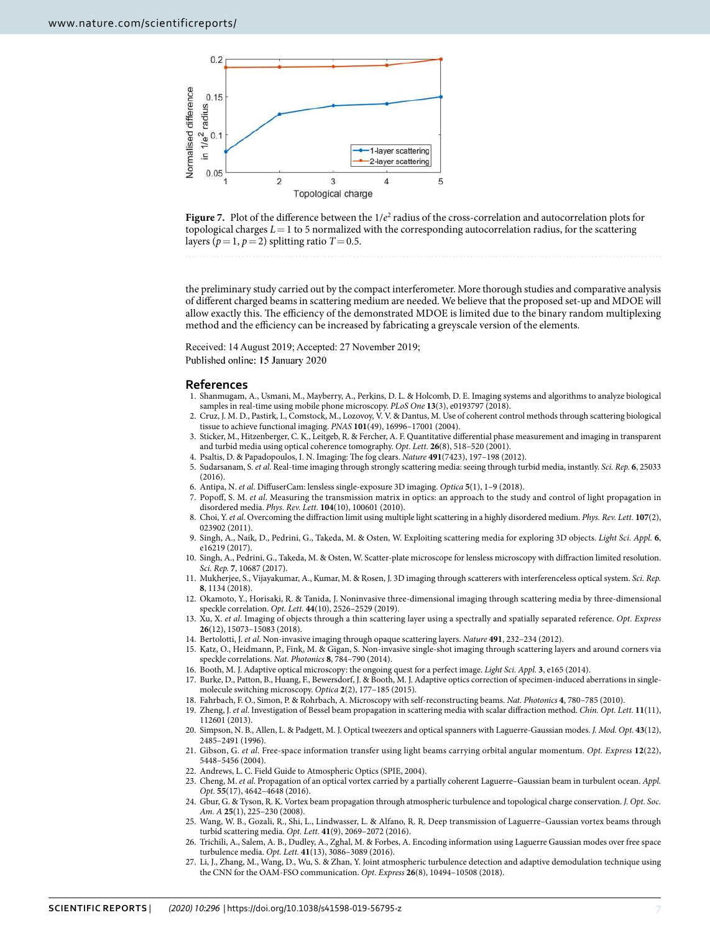

<span id="page-6-19"></span>**Figure 7.** Plot of the difference between the  $1/e^2$  radius of the cross-correlation and autocorrelation plots for topological charges  $L = 1$  to 5 normalized with the corresponding autocorrelation radius, for the scattering layers ( $p = 1$ ,  $p = 2$ ) splitting ratio  $T = 0.5$ .

the preliminary study carried out by the compact interferometer. More thorough studies and comparative analysis of different charged beams in scattering medium are needed. We believe that the proposed set-up and MDOE will allow exactly this. The efficiency of the demonstrated MDOE is limited due to the binary random multiplexing method and the efficiency can be increased by fabricating a greyscale version of the elements.

Received: 14 August 2019; Accepted: 27 November 2019; Published online: 15 January 2020

#### **References**

- <span id="page-6-0"></span> 1. Shanmugam, A., Usmani, M., Mayberry, A., Perkins, D. L. & Holcomb, D. E. Imaging systems and algorithms to analyze biological samples in real-time using mobile phone microscopy. PLoS One **13**(3), e0193797 (2018).
- 2. Cruz, J. M. D., Pastirk, I., Comstock, M., Lozovoy, V. V. & Dantus, M. Use of coherent control methods through scattering biological tissue to achieve functional imaging. PNAS **101**(49), 16996–17001 (2004).
- 3. Sticker, M., Hitzenberger, C. K., Leitgeb, R. & Fercher, A. F. Quantitative differential phase measurement and imaging in transparent and turbid media using optical coherence tomography. Opt. Lett. **26**(8), 518–520 (2001).
- 4. Psaltis, D. & Papadopoulos, I. N. Imaging: The fog clears. Nature **491**(7423), 197–198 (2012).
- <span id="page-6-1"></span> 5. Sudarsanam, S. et al. Real-time imaging through strongly scattering media: seeing through turbid media, instantly. Sci. Rep. **6**, 25033  $(2016)$
- <span id="page-6-2"></span>6. Antipa, N. et al. DiffuserCam: lensless single-exposure 3D imaging. Optica **5**(1), 1–9 (2018).
- 7. Popoff, S. M. et al. Measuring the transmission matrix in optics: an approach to the study and control of light propagation in disordered media. Phys. Rev. Lett. **104**(10), 100601 (2010).
- <span id="page-6-3"></span> 8. Choi, Y. et al. Overcoming the diffraction limit using multiple light scattering in a highly disordered medium. Phys. Rev. Lett. **107**(2), 023902 (2011).
- <span id="page-6-4"></span> 9. Singh, A., Naik, D., Pedrini, G., Takeda, M. & Osten, W. Exploiting scattering media for exploring 3D objects. Light Sci. Appl. **6**, e16219 (2017).
- 10. Singh, A., Pedrini, G., Takeda, M. & Osten, W. Scatter-plate microscope for lensless microscopy with diffraction limited resolution. Sci. Rep. **7**, 10687 (2017).
- 11. Mukherjee, S., Vijayakumar, A., Kumar, M. & Rosen, J. 3D imaging through scatterers with interferenceless optical system. Sci. Rep. **8**, 1134 (2018).
- 12. Okamoto, Y., Horisaki, R. & Tanida, J. Noninvasive three-dimensional imaging through scattering media by three-dimensional speckle correlation. Opt. Lett. **44**(10), 2526–2529 (2019).
- <span id="page-6-5"></span>Xu, X. et al. Imaging of objects through a thin scattering layer using a spectrally and spatially separated reference. Opt. Express **26**(12), 15073–15083 (2018).
- <span id="page-6-6"></span>14. Bertolotti, J. et al. Non-invasive imaging through opaque scattering layers. Nature **491**, 232–234 (2012).
- <span id="page-6-7"></span> 15. Katz, O., Heidmann, P., Fink, M. & Gigan, S. Non-invasive single-shot imaging through scattering layers and around corners via speckle correlations. Nat. Photonics **8**, 784–790 (2014).
- <span id="page-6-8"></span>16. Booth, M. J. Adaptive optical microscopy: the ongoing quest for a perfect image. Light Sci. Appl. **3**, e165 (2014).
- <span id="page-6-9"></span> 17. Burke, D., Patton, B., Huang, F., Bewersdorf, J. & Booth, M. J. Adaptive optics correction of specimen-induced aberrations in singlemolecule switching microscopy. Optica **2**(2), 177–185 (2015).
- <span id="page-6-10"></span>18. Fahrbach, F. O., Simon, P. & Rohrbach, A. Microscopy with self-reconstructing beams. Nat. Photonics **4**, 780–785 (2010).
- <span id="page-6-11"></span> 19. Zheng, J. et al. Investigation of Bessel beam propagation in scattering media with scalar diffraction method. Chin. Opt. Lett. **11**(11), 112601 (2013).
- <span id="page-6-12"></span> 20. Simpson, N. B., Allen, L. & Padgett, M. J. Optical tweezers and optical spanners with Laguerre-Gaussian modes. J. Mod. Opt. **43**(12), 2485–2491 (1996).
- <span id="page-6-13"></span> 21. Gibson, G. et al. Free-space information transfer using light beams carrying orbital angular momentum. Opt. Express **12**(22), 5448–5456 (2004).
- <span id="page-6-14"></span>22. Andrews, L. C. Field Guide to Atmospheric Optics (SPIE, 2004).
- 23. Cheng, M. et al. Propagation of an optical vortex carried by a partially coherent Laguerre-Gaussian beam in turbulent ocean. Appl. Opt. **55**(17), 4642–4648 (2016).
- <span id="page-6-18"></span> 24. Gbur, G. & Tyson, R. K. Vortex beam propagation through atmospheric turbulence and topological charge conservation. J. Opt. Soc. Am. A **25**(1), 225–230 (2008).
- <span id="page-6-15"></span> 25. Wang, W. B., Gozali, R., Shi, L., Lindwasser, L. & Alfano, R. R. Deep transmission of Laguerre–Gaussian vortex beams through turbid scattering media. Opt. Lett. **41**(9), 2069–2072 (2016).
- <span id="page-6-16"></span> 26. Trichili, A., Salem, A. B., Dudley, A., Zghal, M. & Forbes, A. Encoding information using Laguerre Gaussian modes over free space turbulence media. Opt. Lett. **41**(13), 3086–3089 (2016).
- <span id="page-6-17"></span> 27. Li, J., Zhang, M., Wang, D., Wu, S. & Zhan, Y. Joint atmospheric turbulence detection and adaptive demodulation technique using the CNN for the OAM-FSO communication. Opt. Express **26**(8), 10494–10508 (2018).